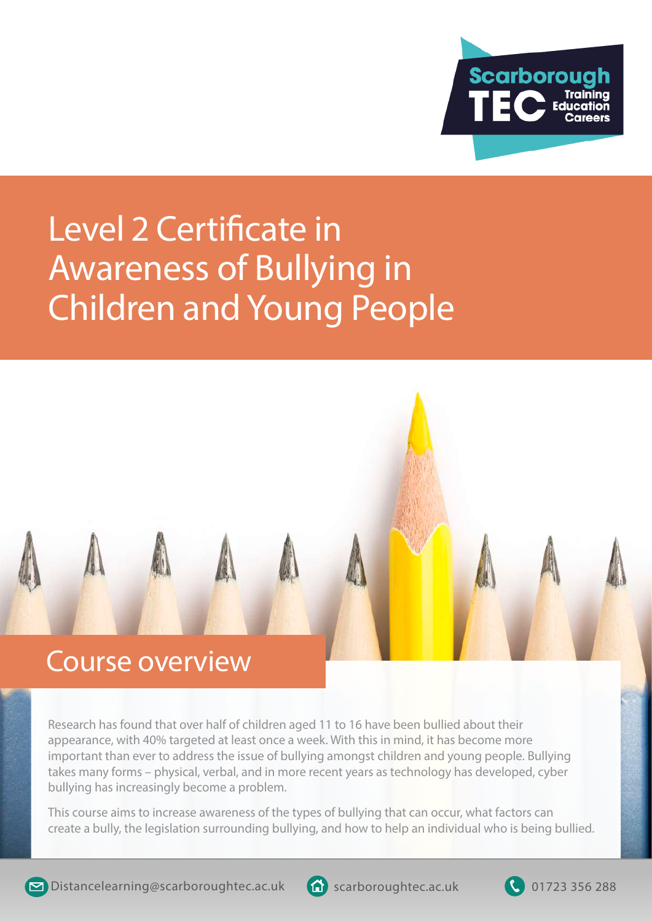

## Awareness of Bullying in Children and Young People Level 2 Certificate in



Research has found that over half of children aged 11 to 16 have been bullied about their appearance, with 40% targeted at least once a week. With this in mind, it has become more important than ever to address the issue of bullying amongst children and young people. Bullying takes many forms – physical, verbal, and in more recent years as technology has developed, cyber bullying has increasingly become a problem.

This course aims to increase awareness of the types of bullying that can occur, what factors can create a bully, the legislation surrounding bullying, and how to help an individual who is being bullied.